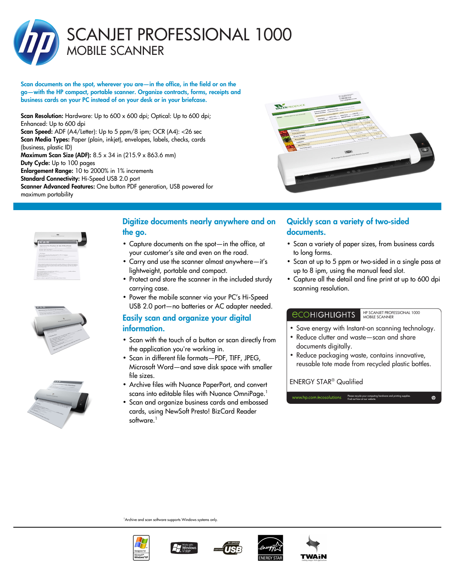

Scan documents on the spot, wherever you are—in the office, in the field or on the go—with the HP compact, portable scanner. Organize contracts, forms, receipts and business cards on your PC instead of on your desk or in your briefcase.

Scan Resolution: Hardware: Up to 600 x 600 dpi; Optical: Up to 600 dpi; Enhanced: Up to 600 dpi

Scan Speed: ADF (A4/Letter): Up to 5 ppm/8 ipm; OCR (A4): < 26 sec Scan Media Types: Paper (plain, inkjet), envelopes, labels, checks, cards (business, plastic ID)

Maximum Scan Size (ADF): 8.5 x 34 in (215.9 x 863.6 mm) Duty Cycle: Up to 100 pages Enlargement Range: 10 to 2000% in 1% increments Standard Connectivity: Hi-Speed USB 2.0 port Scanner Advanced Features: One button PDF generation, USB powered for maximum portability









# Digitize documents nearly anywhere and on the go.

- Capture documents on the spot—in the office, at your customer's site and even on the road.
- Carry and use the scanner almost anywhere—it's lightweight, portable and compact.
- Protect and store the scanner in the included sturdy carrying case.
- Power the mobile scanner via your PC's Hi-Speed USB 2.0 port—no batteries or AC adapter needed.

# Easily scan and organize your digital information.

- Scan with the touch of a button or scan directly from the application you're working in.
- Scan in different file formats—PDF, TIFF, JPEG, Microsoft Word—and save disk space with smaller file sizes.
- Archive files with Nuance PaperPort, and convert scans into editable files with Nuance OmniPage.<sup>1</sup>
- Scan and organize business cards and embossed cards, using NewSoft Presto! BizCard Reader software.<sup>1</sup>

# Quickly scan a variety of two-sided documents.

- Scan a variety of paper sizes, from business cards to long forms.
- Scan at up to 5 ppm or two-sided in a single pass at up to 8 ipm, using the manual feed slot.
- Capture all the detail and fine print at up to 600 dpi scanning resolution.

## *<u>ECOHIGHLIGHTS</u>*

HP SCANJET PROFESSIONAL 1000 MOBILE SCANNER

Please recycle your computing hardware and printing supplies. Find out how at our website.

- Save energy with Instant-on scanning technology.
- Reduce clutter and waste—scan and share documents digitally.
- Reduce packaging waste, contains innovative, reusable tote made from recycled plastic bottles.

## ENERGY STAR® Qualified

 $\sqrt{a}$ 

<sup>1</sup> Archive and scan software supports Windows systems only